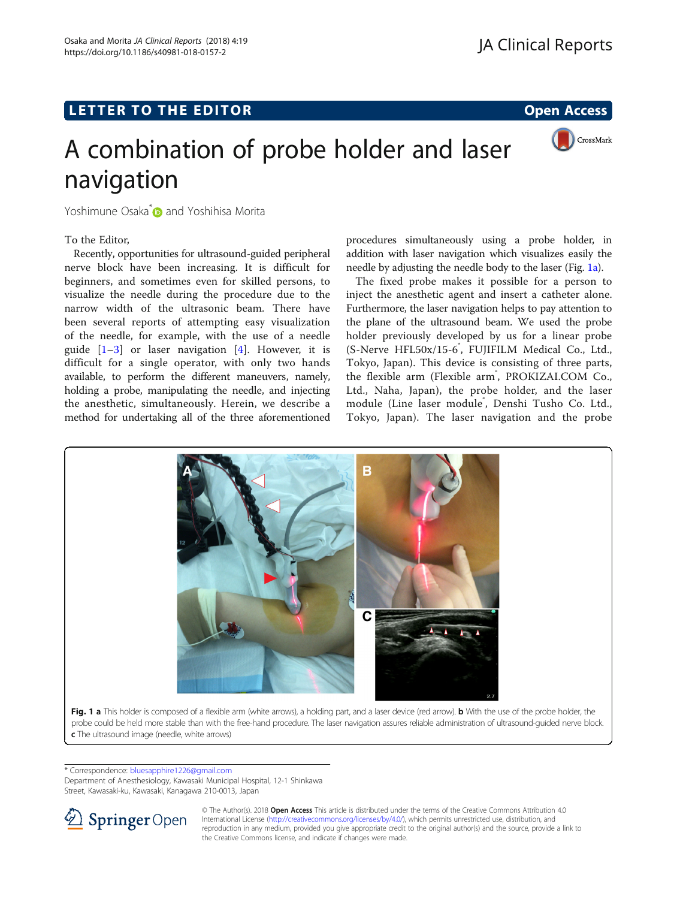## <span id="page-0-0"></span>L E T T ER TO THE EXPLORATION OF THE EXPLORATION OF THE EXPLORATION OF THE EXPLORATION OF THE EXPLORATION OF T



# A combination of probe holder and laser navigation

Yoshimune Osaka<sup>[\\*](http://orcid.org/0000-0002-1302-1498)</sup> and Yoshihisa Morita

### To the Editor,

Recently, opportunities for ultrasound-guided peripheral nerve block have been increasing. It is difficult for beginners, and sometimes even for skilled persons, to visualize the needle during the procedure due to the narrow width of the ultrasonic beam. There have been several reports of attempting easy visualization of the needle, for example, with the use of a needle guide  $[1-3]$  $[1-3]$  $[1-3]$  $[1-3]$  or laser navigation  $[4]$  $[4]$ . However, it is difficult for a single operator, with only two hands available, to perform the different maneuvers, namely, holding a probe, manipulating the needle, and injecting the anesthetic, simultaneously. Herein, we describe a method for undertaking all of the three aforementioned

procedures simultaneously using a probe holder, in addition with laser navigation which visualizes easily the needle by adjusting the needle body to the laser (Fig. 1a).

The fixed probe makes it possible for a person to inject the anesthetic agent and insert a catheter alone. Furthermore, the laser navigation helps to pay attention to the plane of the ultrasound beam. We used the probe holder previously developed by us for a linear probe (S-Nerve HFL50x/15-6°, FUJIFILM Medical Co., Ltd., Tokyo, Japan). This device is consisting of three parts, the flexible arm (Flexible arm<sup>®</sup>, PROKIZAI.COM Co., Ltd., Naha, Japan), the probe holder, and the laser module (Line laser module<sup>®</sup>, Denshi Tusho Co. Ltd., Tokyo, Japan). The laser navigation and the probe



\* Correspondence: [bluesapphire1226@gmail.com](mailto:bluesapphire1226@gmail.com)

Department of Anesthesiology, Kawasaki Municipal Hospital, 12-1 Shinkawa Street, Kawasaki-ku, Kawasaki, Kanagawa 210-0013, Japan



© The Author(s). 2018 Open Access This article is distributed under the terms of the Creative Commons Attribution 4.0 International License ([http://creativecommons.org/licenses/by/4.0/\)](http://creativecommons.org/licenses/by/4.0/), which permits unrestricted use, distribution, and reproduction in any medium, provided you give appropriate credit to the original author(s) and the source, provide a link to the Creative Commons license, and indicate if changes were made.